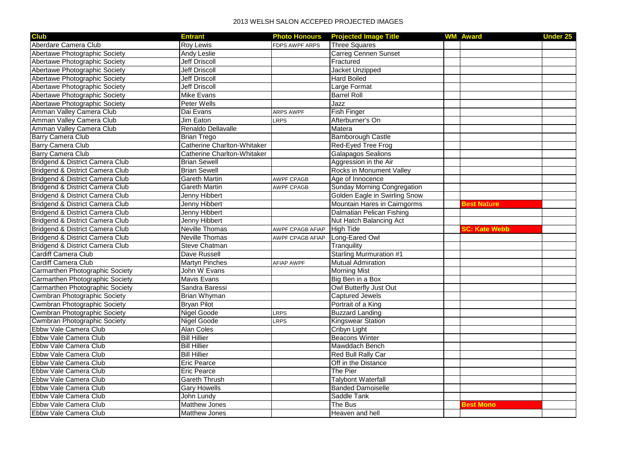## 2013 WELSH SALON ACCEPED PROJECTED IMAGES

| <b>Club</b>                         | <b>Entrant</b>                     | <b>Photo Honours</b>    | <b>Projected Image Title</b>       | <b>WM Award</b>      | <b>Under 25</b> |
|-------------------------------------|------------------------------------|-------------------------|------------------------------------|----------------------|-----------------|
| Aberdare Camera Club                | <b>Rov Lewis</b>                   | <b>FDPS AWPF ARPS</b>   | <b>Three Squares</b>               |                      |                 |
| Abertawe Photographic Society       | <b>Andy Leslie</b>                 |                         | <b>Carreg Cennen Sunset</b>        |                      |                 |
| Abertawe Photographic Society       | Jeff Driscoll                      |                         | Fractured                          |                      |                 |
| Abertawe Photographic Society       | <b>Jeff Driscoll</b>               |                         | Jacket Unzipped                    |                      |                 |
| Abertawe Photographic Society       | Jeff Driscoll                      |                         | <b>Hard Boiled</b>                 |                      |                 |
| Abertawe Photographic Society       | <b>Jeff Driscoll</b>               |                         | Large Format                       |                      |                 |
| Abertawe Photographic Society       | Mike Evans                         |                         | <b>Barrel Roll</b>                 |                      |                 |
| Abertawe Photographic Society       | <b>Peter Wells</b>                 |                         | Jazz                               |                      |                 |
| Amman Valley Camera Club            | Dai Evans                          | <b>ARPS AWPF</b>        | <b>Fish Finger</b>                 |                      |                 |
| Amman Valley Camera Club            | Jim Eaton                          | LRPS                    | Afterburner's On                   |                      |                 |
| Amman Valley Camera Club            | Renaldo Dellavalle                 |                         | Matera                             |                      |                 |
| <b>Barry Camera Club</b>            | <b>Brian Trego</b>                 |                         | <b>Bamborough Castle</b>           |                      |                 |
| <b>Barry Camera Club</b>            | <b>Catherine Charlton-Whitaker</b> |                         | Red-Eyed Tree Frog                 |                      |                 |
| <b>Barry Camera Club</b>            | <b>Catherine Charlton-Whitaker</b> |                         | <b>Galapagos Sealions</b>          |                      |                 |
| Bridgend & District Camera Club     | <b>Brian Sewell</b>                |                         | Aggression in the Air              |                      |                 |
| Bridgend & District Camera Club     | <b>Brian Sewell</b>                |                         | Rocks in Monument Valley           |                      |                 |
| Bridgend & District Camera Club     | <b>Gareth Martin</b>               | <b>AWPF CPAGB</b>       | Age of Innocence                   |                      |                 |
| Bridgend & District Camera Club     | <b>Gareth Martin</b>               | <b>AWPF CPAGB</b>       | <b>Sunday Morning Congregation</b> |                      |                 |
| Bridgend & District Camera Club     | Jenny Hibbert                      |                         | Golden Eagle in Swirling Snow      |                      |                 |
| Bridgend & District Camera Club     | Jenny Hibbert                      |                         | Mountain Hares in Cairngorms       | <b>lest Nature</b>   |                 |
| Bridgend & District Camera Club     | Jenny Hibbert                      |                         | Dalmatian Pelican Fishing          |                      |                 |
| Bridgend & District Camera Club     | Jenny Hibbert                      |                         | Nut Hatch Balancing Act            |                      |                 |
| Bridgend & District Camera Club     | <b>Neville Thomas</b>              | <b>AWPF CPAGB AFIAP</b> | <b>High Tide</b>                   | <b>SC: Kate Webb</b> |                 |
| Bridgend & District Camera Club     | <b>Neville Thomas</b>              | AWPF CPAGB AFIAP        | Long-Eared Owl                     |                      |                 |
| Bridgend & District Camera Club     | <b>Steve Chatman</b>               |                         | Tranquility                        |                      |                 |
| Cardiff Camera Club                 | Dave Russell                       |                         | <b>Starling Murmuration #1</b>     |                      |                 |
| Cardiff Camera Club                 | <b>Martyn Pinches</b>              | <b>AFIAP AWPF</b>       | <b>Mutual Admiration</b>           |                      |                 |
| Carmarthen Photographic Society     | John W Evans                       |                         | <b>Morning Mist</b>                |                      |                 |
| Carmarthen Photographic Society     | Mavis Evans                        |                         | Big Ben in a Box                   |                      |                 |
| Carmarthen Photographic Society     | Sandra Baressi                     |                         | Owl Butterfly Just Out             |                      |                 |
| <b>Cwmbran Photographic Society</b> | <b>Brian Whyman</b>                |                         | <b>Captured Jewels</b>             |                      |                 |
| <b>Cwmbran Photographic Society</b> | <b>Bryan Pilot</b>                 |                         | Portrait of a King                 |                      |                 |
| Cwmbran Photographic Society        | Nigel Goode                        | LRPS                    | <b>Buzzard Landing</b>             |                      |                 |
| <b>Cwmbran Photographic Society</b> | Nigel Goode                        | LRPS                    | <b>Kingswear Station</b>           |                      |                 |
| Ebbw Vale Camera Club               | Alan Coles                         |                         | Cribyn Light                       |                      |                 |
| Ebbw Vale Camera Club               | <b>Bill Hillier</b>                |                         | <b>Beacons Winter</b>              |                      |                 |
| Ebbw Vale Camera Club               | <b>Bill Hillier</b>                |                         | Mawddach Bench                     |                      |                 |
| Ebbw Vale Camera Club               | <b>Bill Hillier</b>                |                         | Red Bull Rally Car                 |                      |                 |
| Ebbw Vale Camera Club               | <b>Eric Pearce</b>                 |                         | Off in the Distance                |                      |                 |
| Ebbw Vale Camera Club               | <b>Eric Pearce</b>                 |                         | The Pier                           |                      |                 |
| Ebbw Vale Camera Club               | <b>Gareth Thrush</b>               |                         | <b>Talybont Waterfall</b>          |                      |                 |
| Ebbw Vale Camera Club               | <b>Gary Howells</b>                |                         | <b>Banded Damoiselle</b>           |                      |                 |
| Ebbw Vale Camera Club               | John Lundy                         |                         | Saddle Tank                        |                      |                 |
| Ebbw Vale Camera Club               | <b>Matthew Jones</b>               |                         | The Bus                            | <b>Best Mono</b>     |                 |
| Ebbw Vale Camera Club               | Matthew Jones                      |                         | Heaven and hell                    |                      |                 |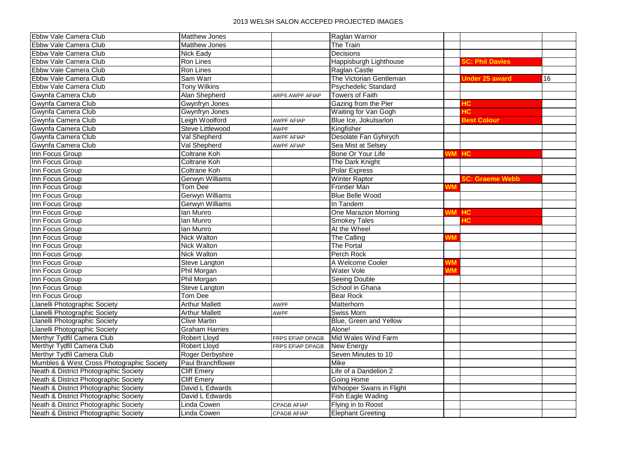## 2013 WELSH SALON ACCEPED PROJECTED IMAGES

| Ebbw Vale Camera Club<br><b>Matthew Jones</b><br>Raglan Warrior                                               |                        |    |
|---------------------------------------------------------------------------------------------------------------|------------------------|----|
| Ebbw Vale Camera Club<br>Matthew Jones<br>The Train                                                           |                        |    |
| Decisions<br>Ebbw Vale Camera Club<br>Nick Eady                                                               |                        |    |
| Happisburgh Lighthouse<br>Ebbw Vale Camera Club<br><b>Ron Lines</b>                                           | <b>SC: Phil Davies</b> |    |
| Ebbw Vale Camera Club<br>Ron Lines<br>Raglan Castle                                                           |                        |    |
| Sam Warr<br>The Victorian Gentleman<br>Ebbw Vale Camera Club                                                  | <b>Jnder 25 award</b>  | 16 |
| Ebbw Vale Camera Club<br><b>Tony Wilkins</b><br><b>Psychedelic Standard</b>                                   |                        |    |
| Towers of Faith<br>Gwynfa Camera Club<br>Alan Shepherd<br>ARPS AWPF AFIAP                                     |                        |    |
| Gwynfa Camera Club<br>Gwynfryn Jones<br>Gazing from the Pier<br>łС.                                           |                        |    |
| ŦС<br>Gwynfa Camera Club<br>Waiting for Van Gogh<br>Gwynfryn Jones                                            |                        |    |
| <b>Best Colour</b><br>Gwynfa Camera Club<br>Leigh Woolford<br>Blue Ice, Jokulsarlon<br><b>AWPF AFIAP</b>      |                        |    |
| Kingfisher<br>Gwynfa Camera Club<br>Steve Littlewood<br><b>AWPF</b>                                           |                        |    |
| Val Shepherd<br>Desolate Fan Gyhirych<br>Gwynfa Camera Club<br><b>AWPF AFIAP</b>                              |                        |    |
| Val Shepherd<br>Sea Mist at Selsey<br>Gwynfa Camera Club<br><b>AWPF AFIAP</b>                                 |                        |    |
| Inn Focus Group<br>Coltrane Koh<br>Bone Or Your Life<br><b>HC</b><br>NM.                                      |                        |    |
| Inn Focus Group<br>Coltrane Koh<br>The Dark Knight                                                            |                        |    |
| Inn Focus Group<br><b>Coltrane Koh</b><br><b>Polar Express</b>                                                |                        |    |
| Inn Focus Group<br><b>Gerwyn Williams</b><br><b>Winter Raptor</b>                                             | <b>SC: Graeme Webb</b> |    |
| Inn Focus Group<br><b>Tom Dee</b><br><b>Frontier Man</b><br>NΜ                                                |                        |    |
| <b>Gerwyn Williams</b><br>Inn Focus Group<br><b>Blue Belle Wood</b>                                           |                        |    |
| Inn Focus Group<br><b>Gerwyn Williams</b><br>In Tandem                                                        |                        |    |
| Inn Focus Group<br>lan Munro<br>One Marazion Morning<br>N <sub>M</sub><br>HC.                                 |                        |    |
| lan Munro<br><b>Smokey Tales</b><br>Inn Focus Group                                                           |                        |    |
| Inn Focus Group<br>lan Munro<br>At the Wheel                                                                  |                        |    |
| <b>Nick Walton</b><br>The Calling<br>Inn Focus Group<br>ΝN                                                    |                        |    |
| <b>The Portal</b><br>Inn Focus Group<br><b>Nick Walton</b>                                                    |                        |    |
| Perch Rock<br>Inn Focus Group<br>Nick Walton                                                                  |                        |    |
| A Welcome Cooler<br>Inn Focus Group<br><b>Steve Langton</b><br>ΝM                                             |                        |    |
| Inn Focus Group<br>Phil Morgan<br>Water Vole<br>ΝN                                                            |                        |    |
| Inn Focus Group<br>Phil Morgan<br><b>Seeing Double</b>                                                        |                        |    |
| Inn Focus Group<br>School in Ghana<br>Steve Langton                                                           |                        |    |
| <b>Bear Rock</b><br>Inn Focus Group<br>Tom Dee                                                                |                        |    |
| <b>Arthur Mallett</b><br>Llanelli Photographic Society<br>Matterhorn<br><b>AWPF</b>                           |                        |    |
| Llanelli Photographic Society<br>Swiss Morn<br><b>Arthur Mallett</b><br><b>AWPF</b>                           |                        |    |
| Blue, Green and Yellow<br>Llanelli Photographic Society<br><b>Clive Martin</b>                                |                        |    |
| Llanelli Photographic Society<br>Alone!<br><b>Graham Harries</b>                                              |                        |    |
| Mid Wales Wind Farm<br>Merthyr Tydfil Camera Club<br>Robert Lloyd<br>FRPS EFIAP DPAGB                         |                        |    |
| Merthyr Tydfil Camera Club<br><b>Robert Lloyd</b><br><b>New Energy</b><br>FRPS EFIAP DPAGB                    |                        |    |
| Merthyr Tydfil Camera Club<br>Seven Minutes to 10<br>Roger Derbyshire                                         |                        |    |
| Mumbles & West Cross Photographic Society<br><b>Paul Branchflower</b><br>Mike                                 |                        |    |
| Neath & District Photographic Society<br><b>Cliff Emery</b><br>Life of a Dandelion 2                          |                        |    |
| Neath & District Photographic Society<br><b>Cliff Emery</b><br>Going Home                                     |                        |    |
| David L Edwards<br>Whooper Swans in Flight<br>Neath & District Photographic Society                           |                        |    |
| Neath & District Photographic Society<br>David L Edwards<br><b>Fish Eagle Wading</b>                          |                        |    |
| Neath & District Photographic Society<br>Linda Cowen<br>Flying in to Roost<br><b>CPAGB AFIAP</b>              |                        |    |
| Neath & District Photographic Society<br><b>Linda Cowen</b><br><b>Elephant Greeting</b><br><b>CPAGB AFIAP</b> |                        |    |